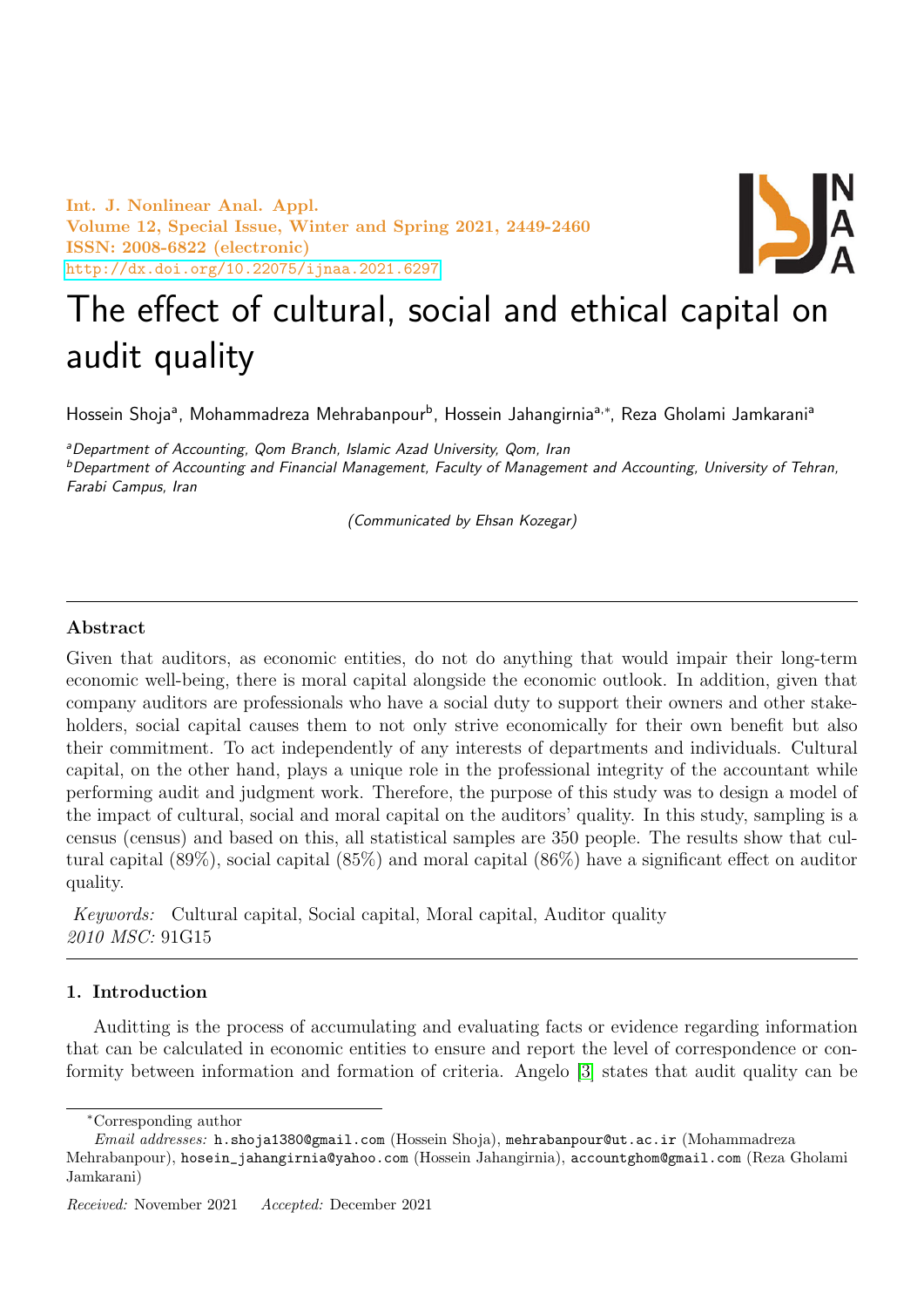Int. J. Nonlinear Anal. Appl. Volume 12, Special Issue, Winter and Spring 2021, 2449-2460 ISSN: 2008-6822 (electronic) <http://dx.doi.org/10.22075/ijnaa.2021.6297>



# The effect of cultural, social and ethical capital on audit quality

Hossein Shojaª, Mohammadreza Mehrabanpour<sup>b</sup>, Hossein Jahangirniaª<sub>'</sub>\*, Reza Gholami Jamkaraniª

<sup>a</sup>Department of Accounting, Qom Branch, Islamic Azad University, Qom, Iran <sup>b</sup>Department of Accounting and Financial Management, Faculty of Management and Accounting, University of Tehran, Farabi Campus, Iran

(Communicated by Ehsan Kozegar)

## Abstract

Given that auditors, as economic entities, do not do anything that would impair their long-term economic well-being, there is moral capital alongside the economic outlook. In addition, given that company auditors are professionals who have a social duty to support their owners and other stakeholders, social capital causes them to not only strive economically for their own benefit but also their commitment. To act independently of any interests of departments and individuals. Cultural capital, on the other hand, plays a unique role in the professional integrity of the accountant while performing audit and judgment work. Therefore, the purpose of this study was to design a model of the impact of cultural, social and moral capital on the auditors' quality. In this study, sampling is a census (census) and based on this, all statistical samples are 350 people. The results show that cultural capital (89%), social capital (85%) and moral capital (86%) have a significant effect on auditor quality.

Keywords: Cultural capital, Social capital, Moral capital, Auditor quality 2010 MSC: 91G15

## 1. Introduction

Auditting is the process of accumulating and evaluating facts or evidence regarding information that can be calculated in economic entities to ensure and report the level of correspondence or conformity between information and formation of criteria. Angelo [\[3\]](#page-11-0) states that audit quality can be

<sup>∗</sup>Corresponding author

Email addresses: h.shoja1380@gmail.com (Hossein Shoja), mehrabanpour@ut.ac.ir (Mohammadreza Mehrabanpour), hosein\_jahangirnia@yahoo.com (Hossein Jahangirnia), accountghom@gmail.com (Reza Gholami Jamkarani)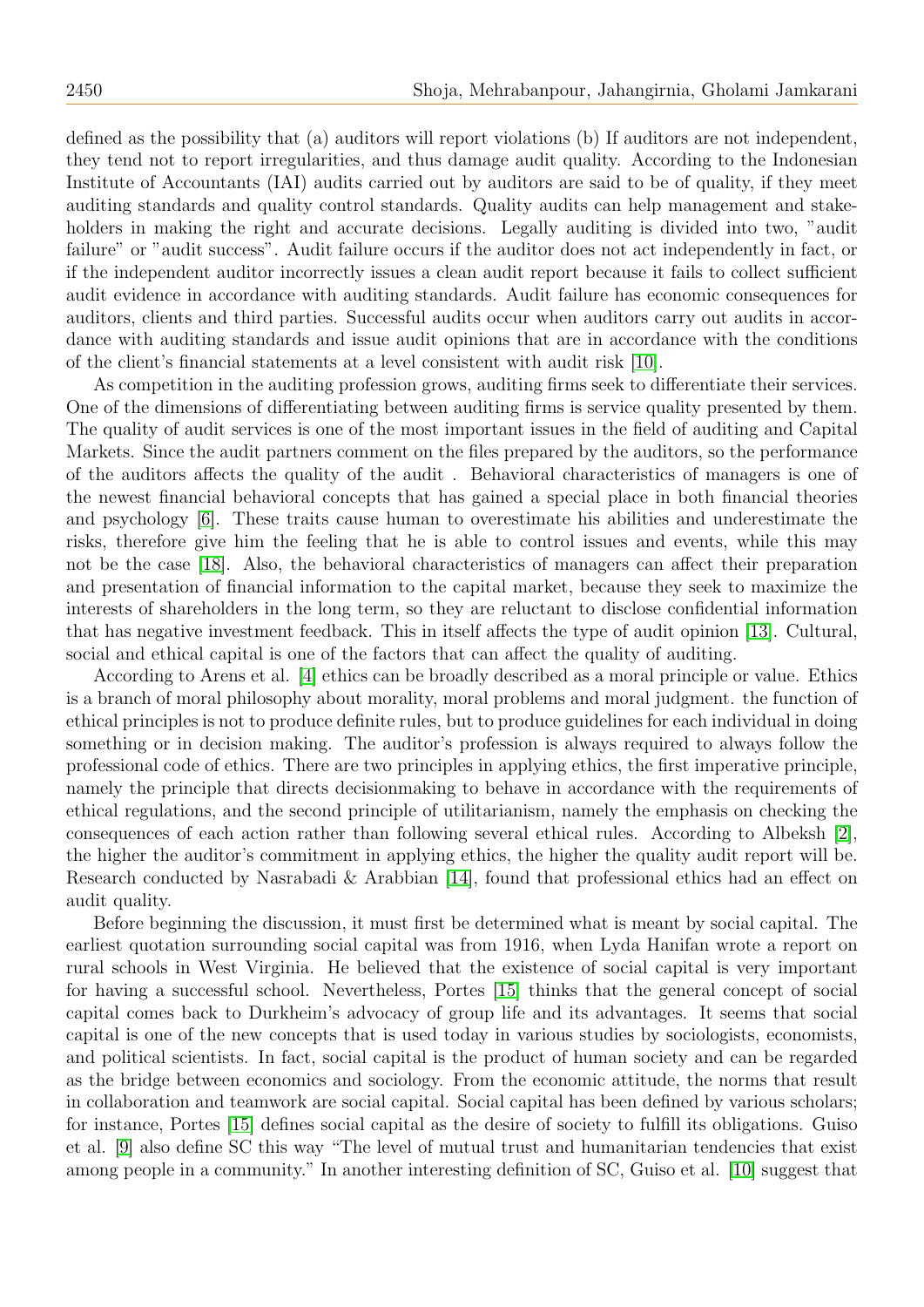defined as the possibility that (a) auditors will report violations (b) If auditors are not independent, they tend not to report irregularities, and thus damage audit quality. According to the Indonesian Institute of Accountants (IAI) audits carried out by auditors are said to be of quality, if they meet auditing standards and quality control standards. Quality audits can help management and stakeholders in making the right and accurate decisions. Legally auditing is divided into two, "audit failure" or "audit success". Audit failure occurs if the auditor does not act independently in fact, or if the independent auditor incorrectly issues a clean audit report because it fails to collect sufficient audit evidence in accordance with auditing standards. Audit failure has economic consequences for auditors, clients and third parties. Successful audits occur when auditors carry out audits in accordance with auditing standards and issue audit opinions that are in accordance with the conditions of the client's financial statements at a level consistent with audit risk [\[10\]](#page-11-1).

As competition in the auditing profession grows, auditing firms seek to differentiate their services. One of the dimensions of differentiating between auditing firms is service quality presented by them. The quality of audit services is one of the most important issues in the field of auditing and Capital Markets. Since the audit partners comment on the files prepared by the auditors, so the performance of the auditors affects the quality of the audit . Behavioral characteristics of managers is one of the newest financial behavioral concepts that has gained a special place in both financial theories and psychology [\[6\]](#page-11-2). These traits cause human to overestimate his abilities and underestimate the risks, therefore give him the feeling that he is able to control issues and events, while this may not be the case [\[18\]](#page-11-3). Also, the behavioral characteristics of managers can affect their preparation and presentation of financial information to the capital market, because they seek to maximize the interests of shareholders in the long term, so they are reluctant to disclose confidential information that has negative investment feedback. This in itself affects the type of audit opinion [\[13\]](#page-11-4). Cultural, social and ethical capital is one of the factors that can affect the quality of auditing.

According to Arens et al. [\[4\]](#page-11-5) ethics can be broadly described as a moral principle or value. Ethics is a branch of moral philosophy about morality, moral problems and moral judgment. the function of ethical principles is not to produce definite rules, but to produce guidelines for each individual in doing something or in decision making. The auditor's profession is always required to always follow the professional code of ethics. There are two principles in applying ethics, the first imperative principle, namely the principle that directs decisionmaking to behave in accordance with the requirements of ethical regulations, and the second principle of utilitarianism, namely the emphasis on checking the consequences of each action rather than following several ethical rules. According to Albeksh [\[2\]](#page-11-6), the higher the auditor's commitment in applying ethics, the higher the quality audit report will be. Research conducted by Nasrabadi & Arabbian [\[14\]](#page-11-7), found that professional ethics had an effect on audit quality.

Before beginning the discussion, it must first be determined what is meant by social capital. The earliest quotation surrounding social capital was from 1916, when Lyda Hanifan wrote a report on rural schools in West Virginia. He believed that the existence of social capital is very important for having a successful school. Nevertheless, Portes [\[15\]](#page-11-8) thinks that the general concept of social capital comes back to Durkheim's advocacy of group life and its advantages. It seems that social capital is one of the new concepts that is used today in various studies by sociologists, economists, and political scientists. In fact, social capital is the product of human society and can be regarded as the bridge between economics and sociology. From the economic attitude, the norms that result in collaboration and teamwork are social capital. Social capital has been defined by various scholars; for instance, Portes [\[15\]](#page-11-8) defines social capital as the desire of society to fulfill its obligations. Guiso et al. [\[9\]](#page-11-9) also define SC this way "The level of mutual trust and humanitarian tendencies that exist among people in a community." In another interesting definition of SC, Guiso et al. [\[10\]](#page-11-1) suggest that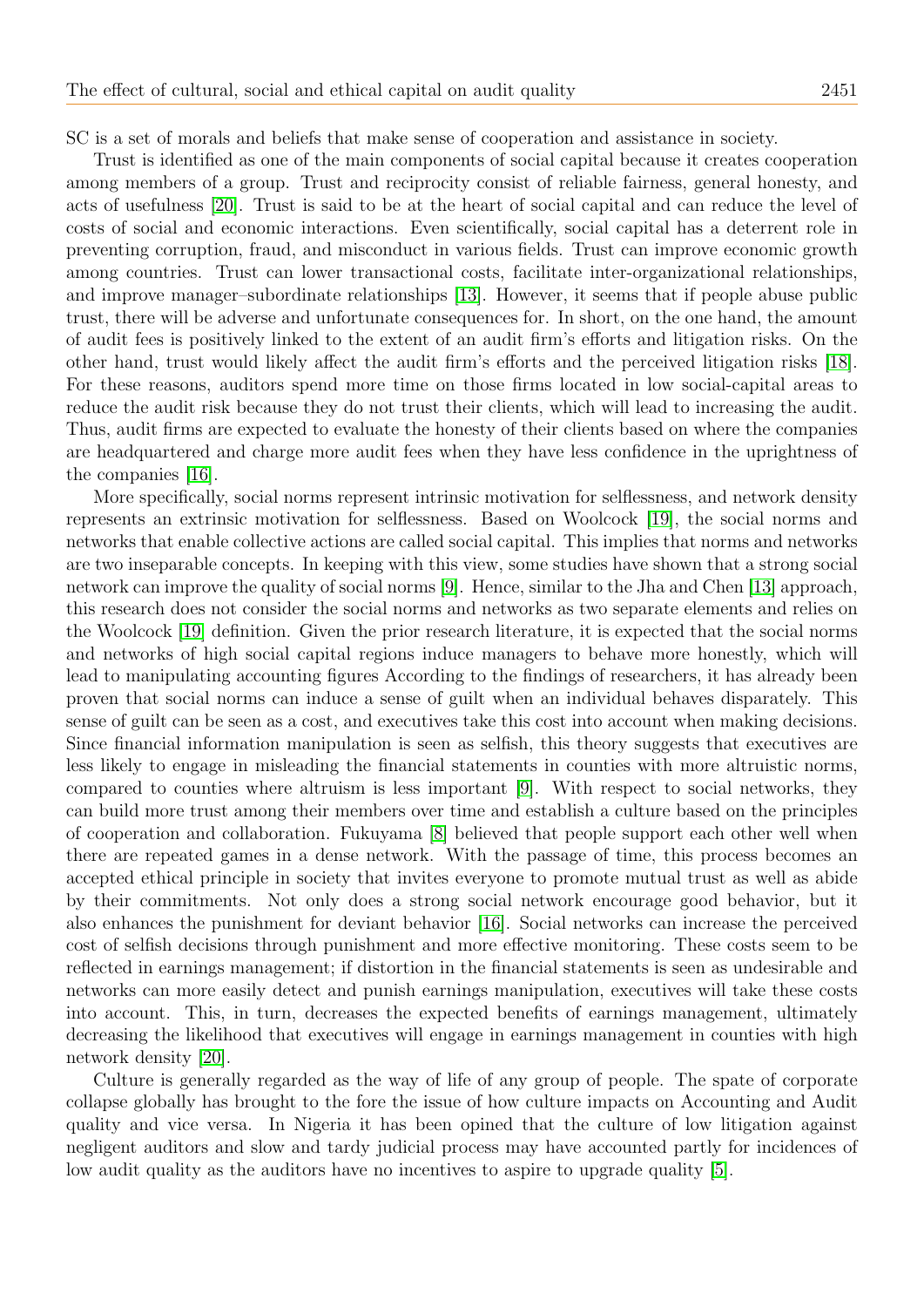SC is a set of morals and beliefs that make sense of cooperation and assistance in society.

Trust is identified as one of the main components of social capital because it creates cooperation among members of a group. Trust and reciprocity consist of reliable fairness, general honesty, and acts of usefulness [\[20\]](#page-11-10). Trust is said to be at the heart of social capital and can reduce the level of costs of social and economic interactions. Even scientifically, social capital has a deterrent role in preventing corruption, fraud, and misconduct in various fields. Trust can improve economic growth among countries. Trust can lower transactional costs, facilitate inter-organizational relationships, and improve manager–subordinate relationships [\[13\]](#page-11-4). However, it seems that if people abuse public trust, there will be adverse and unfortunate consequences for. In short, on the one hand, the amount of audit fees is positively linked to the extent of an audit firm's efforts and litigation risks. On the other hand, trust would likely affect the audit firm's efforts and the perceived litigation risks [\[18\]](#page-11-3). For these reasons, auditors spend more time on those firms located in low social-capital areas to reduce the audit risk because they do not trust their clients, which will lead to increasing the audit. Thus, audit firms are expected to evaluate the honesty of their clients based on where the companies are headquartered and charge more audit fees when they have less confidence in the uprightness of the companies [\[16\]](#page-11-11).

More specifically, social norms represent intrinsic motivation for selflessness, and network density represents an extrinsic motivation for selflessness. Based on Woolcock [\[19\]](#page-11-12), the social norms and networks that enable collective actions are called social capital. This implies that norms and networks are two inseparable concepts. In keeping with this view, some studies have shown that a strong social network can improve the quality of social norms [\[9\]](#page-11-9). Hence, similar to the Jha and Chen [\[13\]](#page-11-4) approach, this research does not consider the social norms and networks as two separate elements and relies on the Woolcock [\[19\]](#page-11-12) definition. Given the prior research literature, it is expected that the social norms and networks of high social capital regions induce managers to behave more honestly, which will lead to manipulating accounting figures According to the findings of researchers, it has already been proven that social norms can induce a sense of guilt when an individual behaves disparately. This sense of guilt can be seen as a cost, and executives take this cost into account when making decisions. Since financial information manipulation is seen as selfish, this theory suggests that executives are less likely to engage in misleading the financial statements in counties with more altruistic norms, compared to counties where altruism is less important [\[9\]](#page-11-9). With respect to social networks, they can build more trust among their members over time and establish a culture based on the principles of cooperation and collaboration. Fukuyama [\[8\]](#page-11-13) believed that people support each other well when there are repeated games in a dense network. With the passage of time, this process becomes an accepted ethical principle in society that invites everyone to promote mutual trust as well as abide by their commitments. Not only does a strong social network encourage good behavior, but it also enhances the punishment for deviant behavior [\[16\]](#page-11-11). Social networks can increase the perceived cost of selfish decisions through punishment and more effective monitoring. These costs seem to be reflected in earnings management; if distortion in the financial statements is seen as undesirable and networks can more easily detect and punish earnings manipulation, executives will take these costs into account. This, in turn, decreases the expected benefits of earnings management, ultimately decreasing the likelihood that executives will engage in earnings management in counties with high network density [\[20\]](#page-11-10).

Culture is generally regarded as the way of life of any group of people. The spate of corporate collapse globally has brought to the fore the issue of how culture impacts on Accounting and Audit quality and vice versa. In Nigeria it has been opined that the culture of low litigation against negligent auditors and slow and tardy judicial process may have accounted partly for incidences of low audit quality as the auditors have no incentives to aspire to upgrade quality [\[5\]](#page-11-14).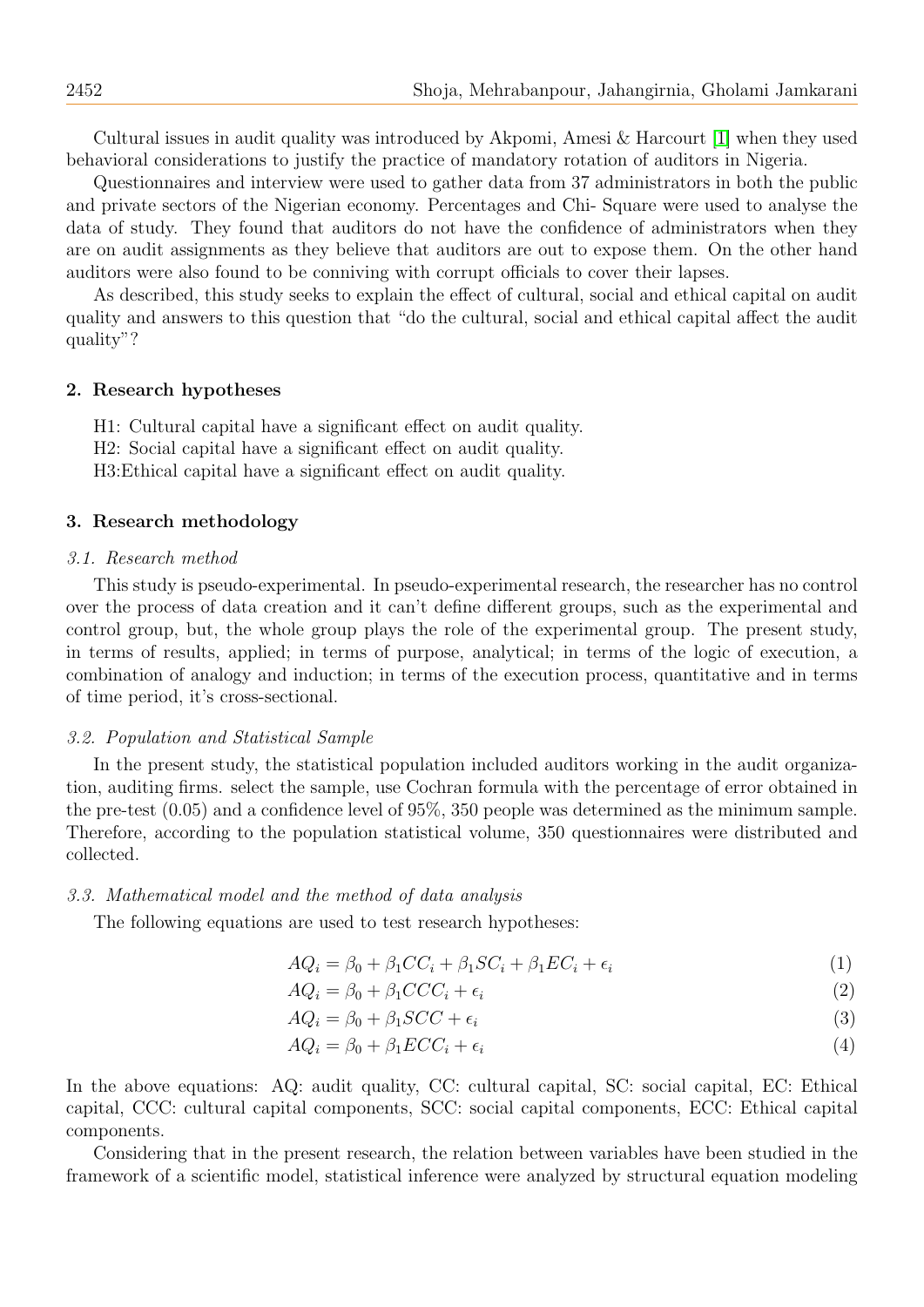Cultural issues in audit quality was introduced by Akpomi, Amesi & Harcourt [\[1\]](#page-10-0) when they used behavioral considerations to justify the practice of mandatory rotation of auditors in Nigeria.

Questionnaires and interview were used to gather data from 37 administrators in both the public and private sectors of the Nigerian economy. Percentages and Chi- Square were used to analyse the data of study. They found that auditors do not have the confidence of administrators when they are on audit assignments as they believe that auditors are out to expose them. On the other hand auditors were also found to be conniving with corrupt officials to cover their lapses.

As described, this study seeks to explain the effect of cultural, social and ethical capital on audit quality and answers to this question that "do the cultural, social and ethical capital affect the audit quality"?

### 2. Research hypotheses

H1: Cultural capital have a significant effect on audit quality. H2: Social capital have a significant effect on audit quality. H3:Ethical capital have a significant effect on audit quality.

## 3. Research methodology

#### 3.1. Research method

This study is pseudo-experimental. In pseudo-experimental research, the researcher has no control over the process of data creation and it can't define different groups, such as the experimental and control group, but, the whole group plays the role of the experimental group. The present study, in terms of results, applied; in terms of purpose, analytical; in terms of the logic of execution, a combination of analogy and induction; in terms of the execution process, quantitative and in terms of time period, it's cross-sectional.

### 3.2. Population and Statistical Sample

In the present study, the statistical population included auditors working in the audit organization, auditing firms. select the sample, use Cochran formula with the percentage of error obtained in the pre-test (0.05) and a confidence level of 95%, 350 people was determined as the minimum sample. Therefore, according to the population statistical volume, 350 questionnaires were distributed and collected.

#### 3.3. Mathematical model and the method of data analysis

The following equations are used to test research hypotheses:

$$
AQ_i = \beta_0 + \beta_1 CC_i + \beta_1 SC_i + \beta_1 EC_i + \epsilon_i \tag{1}
$$

$$
AQ_i = \beta_0 + \beta_1 CCC_i + \epsilon_i \tag{2}
$$

$$
AQ_i = \beta_0 + \beta_1 SCC + \epsilon_i \tag{3}
$$

$$
AQ_i = \beta_0 + \beta_1 ECC_i + \epsilon_i \tag{4}
$$

In the above equations: AQ: audit quality, CC: cultural capital, SC: social capital, EC: Ethical capital, CCC: cultural capital components, SCC: social capital components, ECC: Ethical capital components.

Considering that in the present research, the relation between variables have been studied in the framework of a scientific model, statistical inference were analyzed by structural equation modeling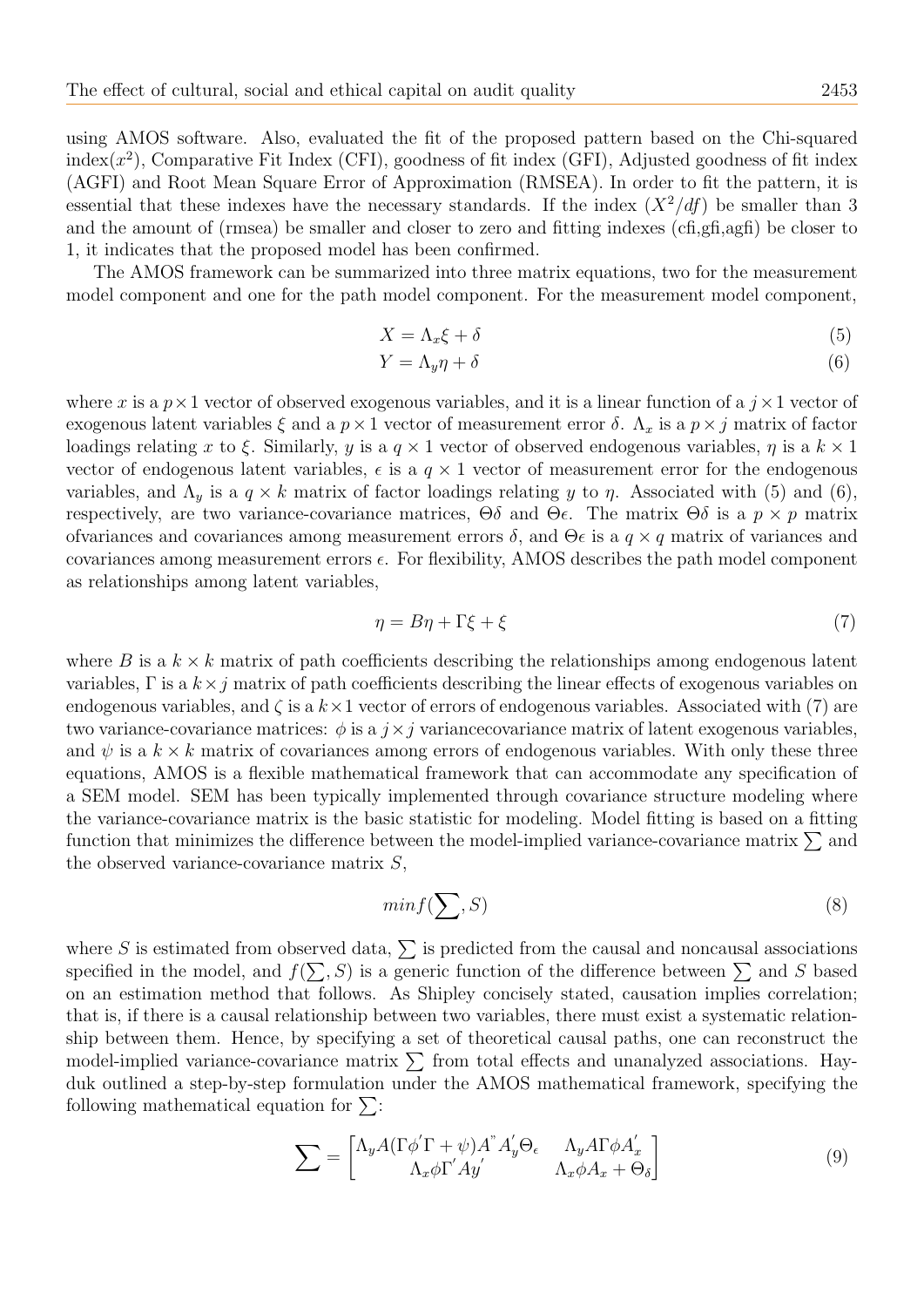using AMOS software. Also, evaluated the fit of the proposed pattern based on the Chi-squared  $index(x^2)$ , Comparative Fit Index (CFI), goodness of fit index (GFI), Adjusted goodness of fit index (AGFI) and Root Mean Square Error of Approximation (RMSEA). In order to fit the pattern, it is essential that these indexes have the necessary standards. If the index  $(X^2/df)$  be smaller than 3 and the amount of (rmsea) be smaller and closer to zero and fitting indexes (cfi,gfi,agfi) be closer to 1, it indicates that the proposed model has been confirmed.

The AMOS framework can be summarized into three matrix equations, two for the measurement model component and one for the path model component. For the measurement model component,

$$
X = \Lambda_x \xi + \delta \tag{5}
$$

$$
Y = \Lambda_y \eta + \delta \tag{6}
$$

where x is a  $p \times 1$  vector of observed exogenous variables, and it is a linear function of a  $j \times 1$  vector of exogenous latent variables  $\xi$  and a  $p \times 1$  vector of measurement error  $\delta$ .  $\Lambda_x$  is a  $p \times j$  matrix of factor loadings relating x to ξ. Similarly, y is a  $q \times 1$  vector of observed endogenous variables,  $\eta$  is a  $k \times 1$ vector of endogenous latent variables,  $\epsilon$  is a  $q \times 1$  vector of measurement error for the endogenous variables, and  $\Lambda_y$  is a  $q \times k$  matrix of factor loadings relating y to  $\eta$ . Associated with (5) and (6), respectively, are two variance-covariance matrices,  $\Theta \delta$  and  $\Theta \epsilon$ . The matrix  $\Theta \delta$  is a  $p \times p$  matrix ofvariances and covariances among measurement errors  $\delta$ , and  $\Theta \epsilon$  is a  $q \times q$  matrix of variances and covariances among measurement errors  $\epsilon$ . For flexibility, AMOS describes the path model component as relationships among latent variables,

$$
\eta = B\eta + \Gamma\xi + \xi \tag{7}
$$

where B is a  $k \times k$  matrix of path coefficients describing the relationships among endogenous latent variables,  $\Gamma$  is a  $k \times j$  matrix of path coefficients describing the linear effects of exogenous variables on endogenous variables, and  $\zeta$  is a  $k \times 1$  vector of errors of endogenous variables. Associated with (7) are two variance-covariance matrices:  $\phi$  is a  $j \times j$  variance covariance matrix of latent exogenous variables, and  $\psi$  is a  $k \times k$  matrix of covariances among errors of endogenous variables. With only these three equations, AMOS is a flexible mathematical framework that can accommodate any specification of a SEM model. SEM has been typically implemented through covariance structure modeling where the variance-covariance matrix is the basic statistic for modeling. Model fitting is based on a fitting function that minimizes the difference between the model-implied variance-covariance matrix  $\Sigma$  and the observed variance-covariance matrix S,

$$
min f(\sum, S) \tag{8}
$$

where S is estimated from observed data,  $\Sigma$  is predicted from the causal and noncausal associations specified in the model, and  $f(\sum, S)$  is a generic function of the difference between  $\sum$  and S based on an estimation method that follows. As Shipley concisely stated, causation implies correlation; that is, if there is a causal relationship between two variables, there must exist a systematic relationship between them. Hence, by specifying a set of theoretical causal paths, one can reconstruct the model-implied variance-covariance matrix  $\sum$  from total effects and unanalyzed associations. Hayduk outlined a step-by-step formulation under the AMOS mathematical framework, specifying the following mathematical equation for  $\Sigma$ :

$$
\sum = \begin{bmatrix} \Lambda_y A (\Gamma \phi' \Gamma + \psi) A^{\dagger} A'_y \Theta_{\epsilon} & \Lambda_y A \Gamma \phi A'_x \\ \Lambda_x \phi \Gamma' A y' & \Lambda_x \phi A_x + \Theta_{\delta} \end{bmatrix} \tag{9}
$$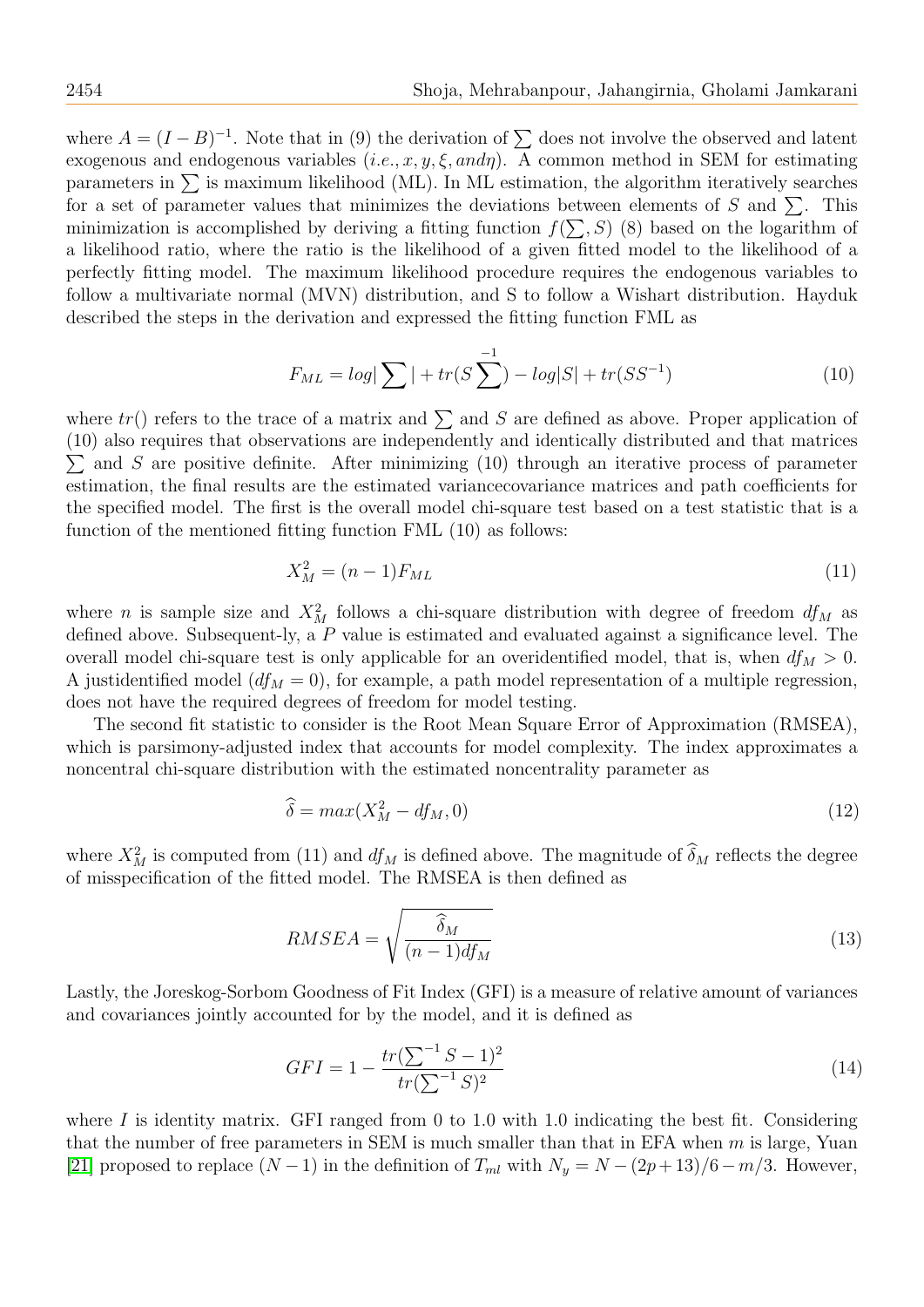where  $A = (I - B)^{-1}$ . Note that in (9) the derivation of  $\sum$  does not involve the observed and latent exogenous and endogenous variables  $(i.e., x, y, \xi, and\eta)$ . A common method in SEM for estimating parameters in  $\Sigma$  is maximum likelihood (ML). In ML estimation, the algorithm iteratively searches for a set of parameter values that minimizes the deviations between elements of S and  $\Sigma$ . This minimization is accomplished by deriving a fitting function  $f(\sum, S)$  (8) based on the logarithm of a likelihood ratio, where the ratio is the likelihood of a given fitted model to the likelihood of a perfectly fitting model. The maximum likelihood procedure requires the endogenous variables to follow a multivariate normal (MVN) distribution, and S to follow a Wishart distribution. Hayduk described the steps in the derivation and expressed the fitting function FML as

$$
F_{ML} = log|\sum| + tr(S\sum^{-1}) - log|S| + tr(SS^{-1})
$$
\n(10)

where  $tr()$  refers to the trace of a matrix and  $\sum$  and S are defined as above. Proper application of (10) also requires that observations are independently and identically distributed and that matrices  $\sum$  and S are positive definite. After minimizing (10) through an iterative process of parameter estimation, the final results are the estimated variancecovariance matrices and path coefficients for the specified model. The first is the overall model chi-square test based on a test statistic that is a function of the mentioned fitting function FML (10) as follows:

$$
X_M^2 = (n-1)F_{ML} \t\t(11)
$$

where *n* is sample size and  $X_M^2$  follows a chi-square distribution with degree of freedom  $df_M$  as defined above. Subsequent-ly, a P value is estimated and evaluated against a significance level. The overall model chi-square test is only applicable for an overidentified model, that is, when  $df_M > 0$ . A justidentified model  $(df_M = 0)$ , for example, a path model representation of a multiple regression, does not have the required degrees of freedom for model testing.

The second fit statistic to consider is the Root Mean Square Error of Approximation (RMSEA), which is parsimony-adjusted index that accounts for model complexity. The index approximates a noncentral chi-square distribution with the estimated noncentrality parameter as

$$
\widehat{\delta} = \max(X_M^2 - df_M, 0) \tag{12}
$$

where  $X_M^2$  is computed from (11) and  $df_M$  is defined above. The magnitude of  $\delta_M$  reflects the degree of misspecification of the fitted model. The RMSEA is then defined as

$$
RMSEA = \sqrt{\frac{\hat{\delta}_M}{(n-1)df_M}}
$$
\n(13)

Lastly, the Joreskog-Sorbom Goodness of Fit Index (GFI) is a measure of relative amount of variances and covariances jointly accounted for by the model, and it is defined as

$$
GFI = 1 - \frac{tr(\sum^{-1} S - 1)^2}{tr(\sum^{-1} S)^2}
$$
\n(14)

where I is identity matrix. GFI ranged from 0 to 1.0 with 1.0 indicating the best fit. Considering that the number of free parameters in SEM is much smaller than that in EFA when  $m$  is large, Yuan [\[21\]](#page-11-15) proposed to replace  $(N-1)$  in the definition of  $T_{ml}$  with  $N_y = N - (2p+13)/6 - m/3$ . However,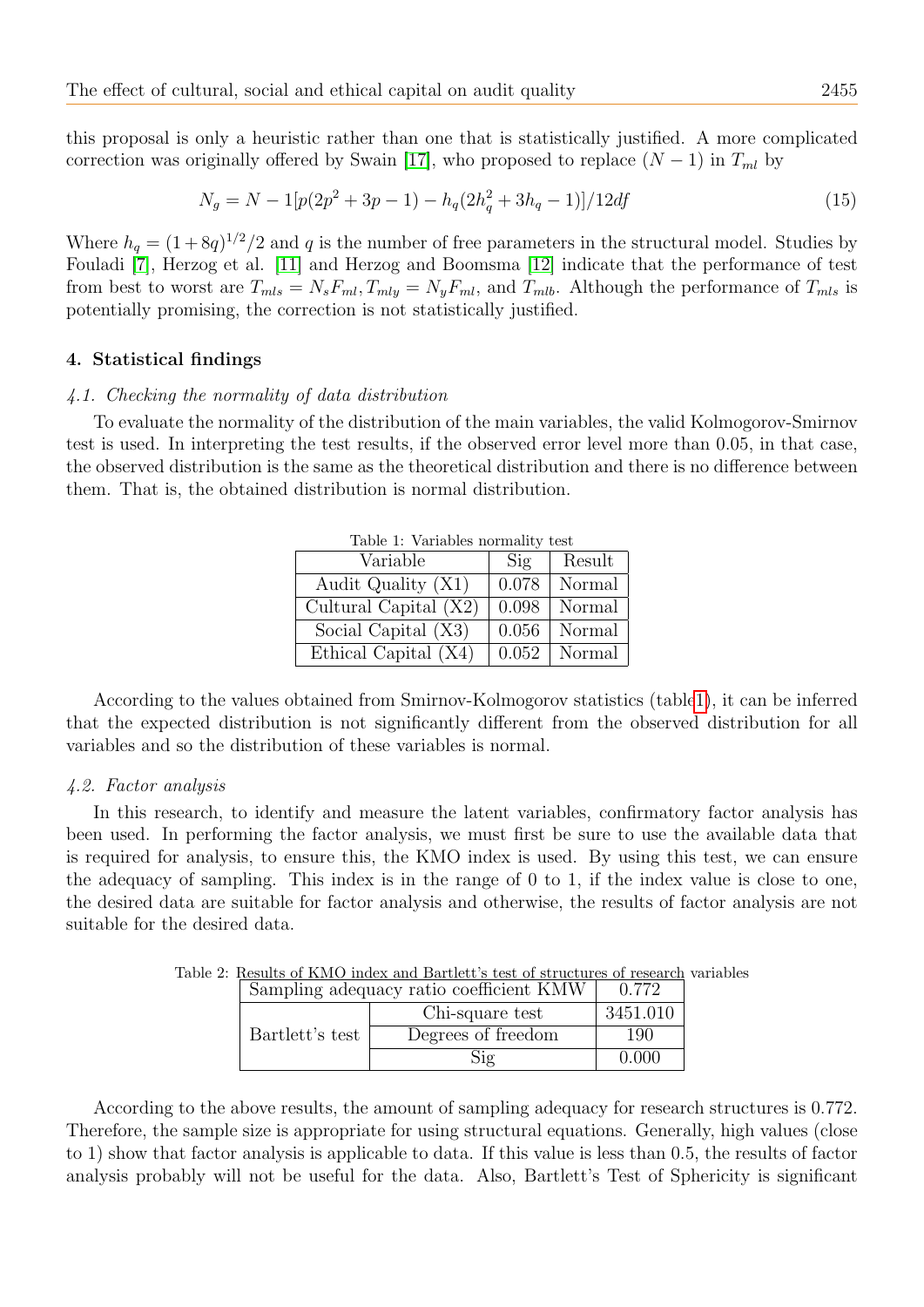this proposal is only a heuristic rather than one that is statistically justified. A more complicated correction was originally offered by Swain [\[17\]](#page-11-16), who proposed to replace  $(N-1)$  in  $T_{ml}$  by

$$
N_g = N - 1[p(2p^2 + 3p - 1) - h_q(2h_q^2 + 3h_q - 1)]/12df
$$
\n(15)

Where  $h_q = (1 + 8q)^{1/2}/2$  and q is the number of free parameters in the structural model. Studies by Fouladi [\[7\]](#page-11-17), Herzog et al. [\[11\]](#page-11-18) and Herzog and Boomsma [\[12\]](#page-11-19) indicate that the performance of test from best to worst are  $T_{mls} = N_s F_{ml}$ ,  $T_{mly} = N_y F_{ml}$ , and  $T_{mlb}$ . Although the performance of  $T_{mls}$  is potentially promising, the correction is not statistically justified.

## 4. Statistical findings

#### 4.1. Checking the normality of data distribution

<span id="page-6-0"></span>To evaluate the normality of the distribution of the main variables, the valid Kolmogorov-Smirnov test is used. In interpreting the test results, if the observed error level more than 0.05, in that case, the observed distribution is the same as the theoretical distribution and there is no difference between them. That is, the obtained distribution is normal distribution.

| rapic 1. variables hormancy |                |        |  |
|-----------------------------|----------------|--------|--|
| Variable                    | $\mathrm{Sig}$ | Result |  |
| Audit Quality (X1)          | 0.078          | Normal |  |
| Cultural Capital $(X2)$     | 0.098          | Normal |  |
| Social Capital (X3)         | 0.056          | Normal |  |
| Ethical Capital (X4)        | 0.052          | Normal |  |

Table 1: Variables normality test

According to the values obtained from Smirnov-Kolmogorov statistics (tabl[e1\)](#page-6-0), it can be inferred that the expected distribution is not significantly different from the observed distribution for all variables and so the distribution of these variables is normal.

#### 4.2. Factor analysis

In this research, to identify and measure the latent variables, confirmatory factor analysis has been used. In performing the factor analysis, we must first be sure to use the available data that is required for analysis, to ensure this, the KMO index is used. By using this test, we can ensure the adequacy of sampling. This index is in the range of 0 to 1, if the index value is close to one, the desired data are suitable for factor analysis and otherwise, the results of factor analysis are not suitable for the desired data.

| Sampling adequacy ratio coefficient KMW |                    | 0.772    |
|-----------------------------------------|--------------------|----------|
|                                         | Chi-square test    | 3451.010 |
| Bartlett's test                         | Degrees of freedom | 190      |
|                                         | $\mathrm{Sig}$     | 0.000    |

Table 2: Results of KMO index and Bartlett's test of structures of research variables

According to the above results, the amount of sampling adequacy for research structures is 0.772. Therefore, the sample size is appropriate for using structural equations. Generally, high values (close to 1) show that factor analysis is applicable to data. If this value is less than 0.5, the results of factor analysis probably will not be useful for the data. Also, Bartlett's Test of Sphericity is significant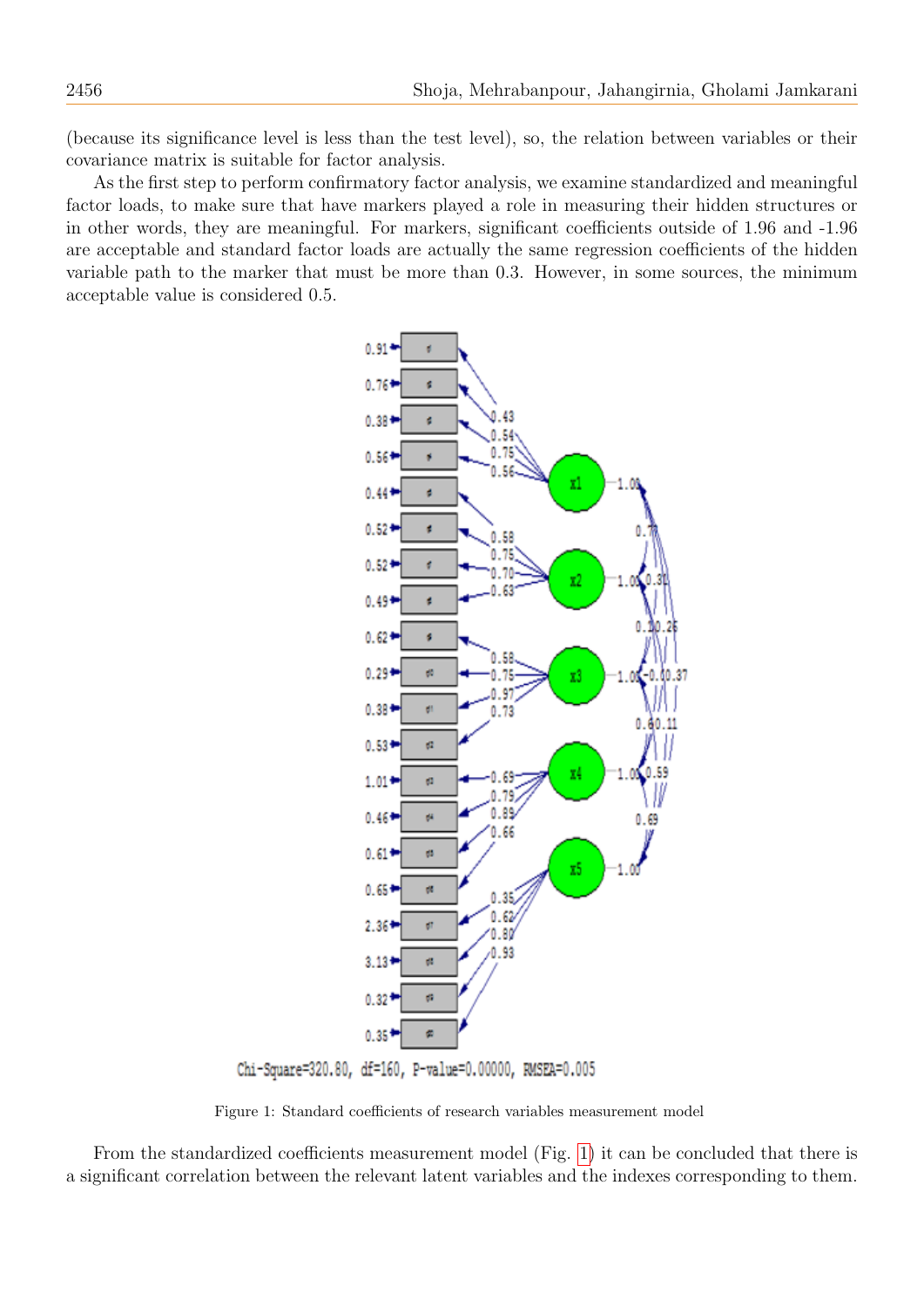(because its significance level is less than the test level), so, the relation between variables or their covariance matrix is suitable for factor analysis.

As the first step to perform confirmatory factor analysis, we examine standardized and meaningful factor loads, to make sure that have markers played a role in measuring their hidden structures or in other words, they are meaningful. For markers, significant coefficients outside of 1.96 and -1.96 are acceptable and standard factor loads are actually the same regression coefficients of the hidden variable path to the marker that must be more than 0.3. However, in some sources, the minimum acceptable value is considered 0.5.



<span id="page-7-0"></span>Chi-Square=320.80, df=160, P-value=0.00000, RMSEA=0.005

Figure 1: Standard coefficients of research variables measurement model

From the standardized coefficients measurement model (Fig. [1\)](#page-7-0) it can be concluded that there is a significant correlation between the relevant latent variables and the indexes corresponding to them.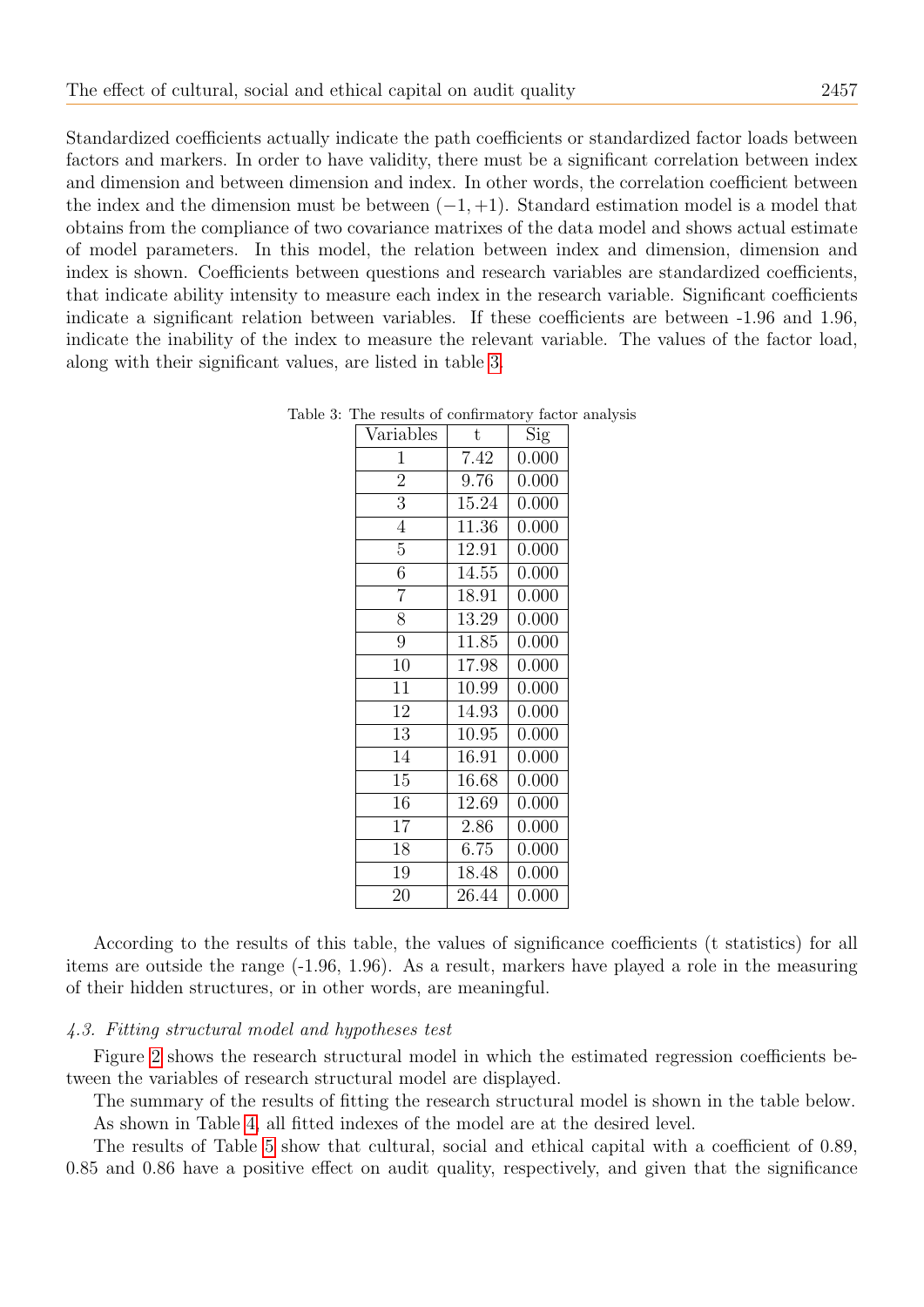Standardized coefficients actually indicate the path coefficients or standardized factor loads between factors and markers. In order to have validity, there must be a significant correlation between index and dimension and between dimension and index. In other words, the correlation coefficient between the index and the dimension must be between  $(-1, +1)$ . Standard estimation model is a model that obtains from the compliance of two covariance matrixes of the data model and shows actual estimate of model parameters. In this model, the relation between index and dimension, dimension and index is shown. Coefficients between questions and research variables are standardized coefficients, that indicate ability intensity to measure each index in the research variable. Significant coefficients indicate a significant relation between variables. If these coefficients are between -1.96 and 1.96, indicate the inability of the index to measure the relevant variable. The values of the factor load, along with their significant values, are listed in table [3.](#page-8-0)

| Variables      | t     | $\overline{\mathrm{Sig}}$ |
|----------------|-------|---------------------------|
| 1              | 7.42  | 0.000                     |
| $\overline{2}$ | 9.76  | 0.000                     |
| 3              | 15.24 | 0.000                     |
| $\overline{4}$ | 11.36 | 0.000                     |
| 5              | 12.91 | 0.000                     |
| $\overline{6}$ | 14.55 | 0.000                     |
| 7              | 18.91 | 0.000                     |
| 8              | 13.29 | 0.000                     |
| 9              | 11.85 | 0.000                     |
| 10             | 17.98 | 0.000                     |
| 11             | 10.99 | 0.000                     |
| 12             | 14.93 | 0.000                     |
| 13             | 10.95 | 0.000                     |
| 14             | 16.91 | 0.000                     |
| 15             | 16.68 | 0.000                     |
| 16             | 12.69 | 0.000                     |
| 17             | 2.86  | 0.000                     |
| 18             | 6.75  | 0.000                     |
| 19             | 18.48 | 0.000                     |
| 20             | 26.44 | 0.000                     |

<span id="page-8-0"></span>Table 3: The results of confirmatory factor analysis

According to the results of this table, the values of significance coefficients (t statistics) for all items are outside the range (-1.96, 1.96). As a result, markers have played a role in the measuring of their hidden structures, or in other words, are meaningful.

## 4.3. Fitting structural model and hypotheses test

Figure [2](#page-9-0) shows the research structural model in which the estimated regression coefficients between the variables of research structural model are displayed.

The summary of the results of fitting the research structural model is shown in the table below. As shown in Table [4,](#page-9-1) all fitted indexes of the model are at the desired level.

The results of Table [5](#page-9-2) show that cultural, social and ethical capital with a coefficient of 0.89, 0.85 and 0.86 have a positive effect on audit quality, respectively, and given that the significance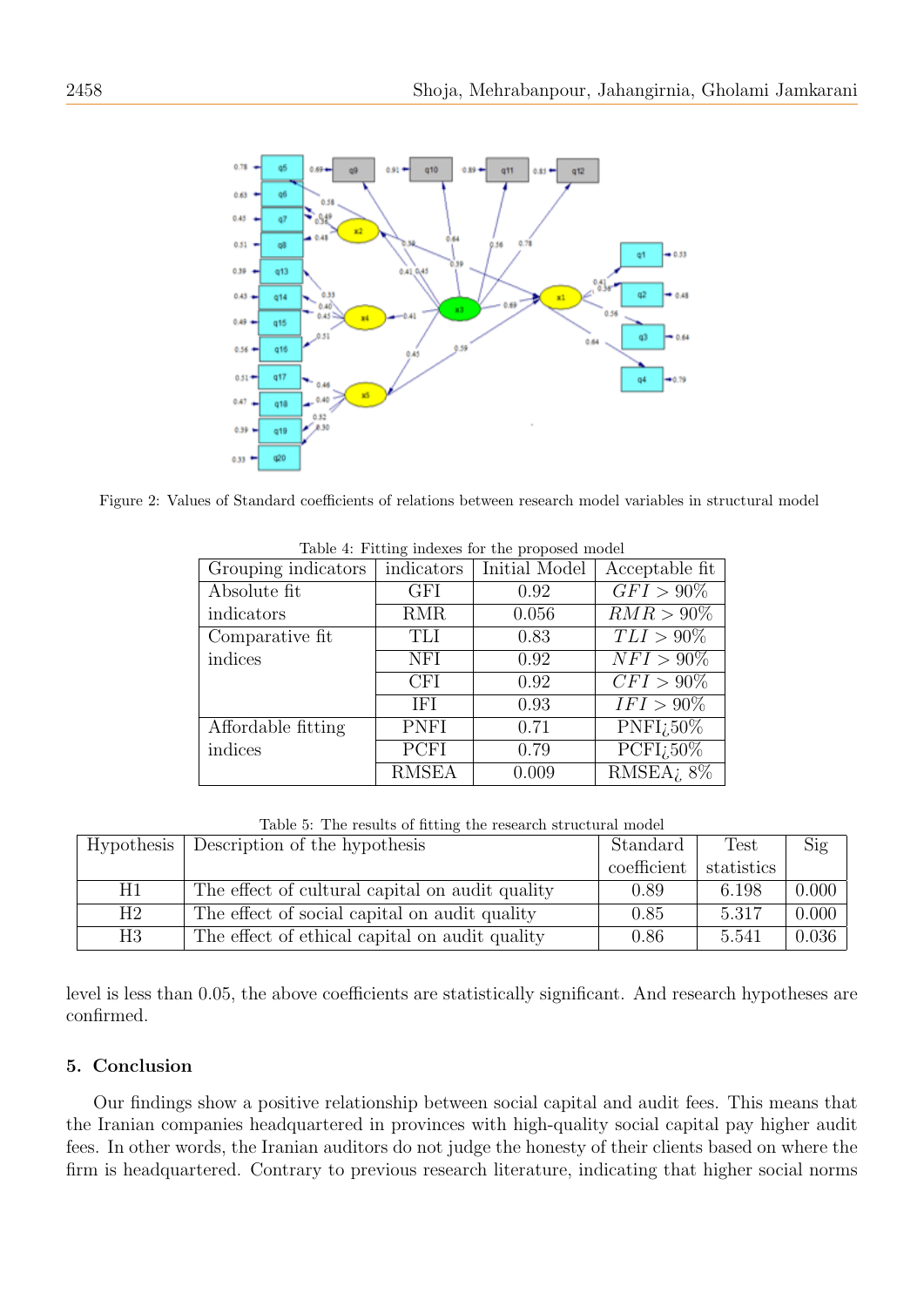

<span id="page-9-1"></span>Figure 2: Values of Standard coefficients of relations between research model variables in structural model

| Grouping indicators | indicators   | Initial Model | Acceptable fit                   |
|---------------------|--------------|---------------|----------------------------------|
| Absolute fit        | GFI          | 0.92          | $GFI > 90\%$                     |
| indicators          | <b>RMR</b>   | 0.056         | $RMR > 90\%$                     |
| Comparative fit     | <b>TLI</b>   | 0.83          | $TLI > 90\%$                     |
| indices             | <b>NFI</b>   | 0.92          | $NFI > 90\%$                     |
|                     | <b>CFI</b>   | 0.92          | $CFI > 90\%$                     |
|                     | <b>IFI</b>   | 0.93          | $IFI > 90\%$                     |
| Affordable fitting  | <b>PNFI</b>  | 0.71          | $\overline{\mathrm{PNFI}}_i$ 50% |
| indices             | PCFI         | 0.79          | $\overline{\text{PCFI}_250\%}$   |
|                     | <b>RMSEA</b> | 0.009         | $RMSEA$ ; $8\%$                  |

<span id="page-9-0"></span>Table 4: Fitting indexes for the proposed model

<span id="page-9-2"></span>

|    | Hypothesis   Description of the hypothesis      | Standard    | <b>Test</b> | Sig   |
|----|-------------------------------------------------|-------------|-------------|-------|
|    |                                                 | coefficient | statistics  |       |
| H1 | The effect of cultural capital on audit quality | 0.89        | 6.198       | 0.000 |
| H2 | The effect of social capital on audit quality   | 0.85        | 5.317       | 0.000 |
| H3 | The effect of ethical capital on audit quality  | 0.86        | 5.541       | 0.036 |

Table 5: The results of fitting the research structural model

level is less than 0.05, the above coefficients are statistically significant. And research hypotheses are confirmed.

## 5. Conclusion

Our findings show a positive relationship between social capital and audit fees. This means that the Iranian companies headquartered in provinces with high-quality social capital pay higher audit fees. In other words, the Iranian auditors do not judge the honesty of their clients based on where the firm is headquartered. Contrary to previous research literature, indicating that higher social norms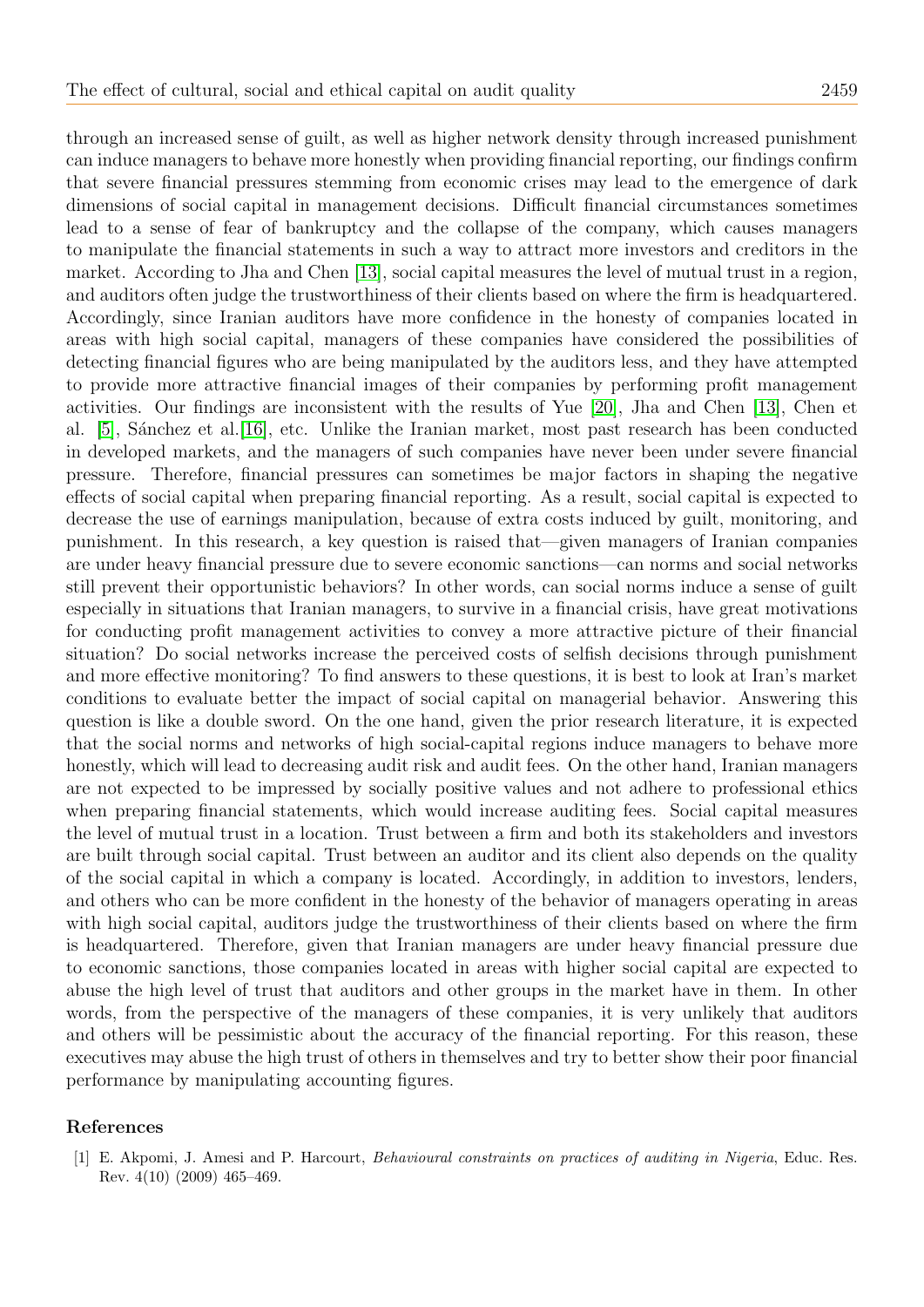through an increased sense of guilt, as well as higher network density through increased punishment can induce managers to behave more honestly when providing financial reporting, our findings confirm that severe financial pressures stemming from economic crises may lead to the emergence of dark dimensions of social capital in management decisions. Difficult financial circumstances sometimes lead to a sense of fear of bankruptcy and the collapse of the company, which causes managers to manipulate the financial statements in such a way to attract more investors and creditors in the market. According to Jha and Chen [\[13\]](#page-11-4), social capital measures the level of mutual trust in a region, and auditors often judge the trustworthiness of their clients based on where the firm is headquartered. Accordingly, since Iranian auditors have more confidence in the honesty of companies located in areas with high social capital, managers of these companies have considered the possibilities of detecting financial figures who are being manipulated by the auditors less, and they have attempted to provide more attractive financial images of their companies by performing profit management activities. Our findings are inconsistent with the results of Yue [\[20\]](#page-11-10), Jha and Chen [\[13\]](#page-11-4), Chen et al. [\[5\]](#page-11-14), Sánchez et al. [\[16\]](#page-11-11), etc. Unlike the Iranian market, most past research has been conducted in developed markets, and the managers of such companies have never been under severe financial pressure. Therefore, financial pressures can sometimes be major factors in shaping the negative effects of social capital when preparing financial reporting. As a result, social capital is expected to decrease the use of earnings manipulation, because of extra costs induced by guilt, monitoring, and punishment. In this research, a key question is raised that—given managers of Iranian companies are under heavy financial pressure due to severe economic sanctions—can norms and social networks still prevent their opportunistic behaviors? In other words, can social norms induce a sense of guilt especially in situations that Iranian managers, to survive in a financial crisis, have great motivations for conducting profit management activities to convey a more attractive picture of their financial situation? Do social networks increase the perceived costs of selfish decisions through punishment and more effective monitoring? To find answers to these questions, it is best to look at Iran's market conditions to evaluate better the impact of social capital on managerial behavior. Answering this question is like a double sword. On the one hand, given the prior research literature, it is expected that the social norms and networks of high social-capital regions induce managers to behave more honestly, which will lead to decreasing audit risk and audit fees. On the other hand, Iranian managers are not expected to be impressed by socially positive values and not adhere to professional ethics when preparing financial statements, which would increase auditing fees. Social capital measures the level of mutual trust in a location. Trust between a firm and both its stakeholders and investors are built through social capital. Trust between an auditor and its client also depends on the quality of the social capital in which a company is located. Accordingly, in addition to investors, lenders, and others who can be more confident in the honesty of the behavior of managers operating in areas with high social capital, auditors judge the trustworthiness of their clients based on where the firm is headquartered. Therefore, given that Iranian managers are under heavy financial pressure due to economic sanctions, those companies located in areas with higher social capital are expected to abuse the high level of trust that auditors and other groups in the market have in them. In other words, from the perspective of the managers of these companies, it is very unlikely that auditors and others will be pessimistic about the accuracy of the financial reporting. For this reason, these executives may abuse the high trust of others in themselves and try to better show their poor financial performance by manipulating accounting figures.

## References

<span id="page-10-0"></span>[1] E. Akpomi, J. Amesi and P. Harcourt, Behavioural constraints on practices of auditing in Nigeria, Educ. Res. Rev. 4(10) (2009) 465–469.